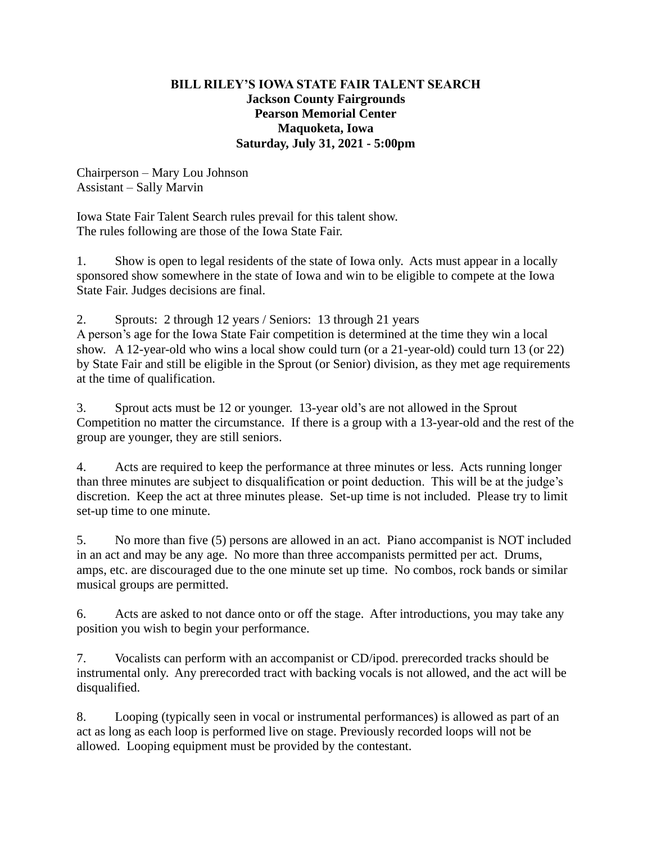## **BILL RILEY'S IOWA STATE FAIR TALENT SEARCH Jackson County Fairgrounds Pearson Memorial Center Maquoketa, Iowa Saturday, July 31, 2021 - 5:00pm**

Chairperson – Mary Lou Johnson Assistant – Sally Marvin

Iowa State Fair Talent Search rules prevail for this talent show. The rules following are those of the Iowa State Fair.

1. Show is open to legal residents of the state of Iowa only. Acts must appear in a locally sponsored show somewhere in the state of Iowa and win to be eligible to compete at the Iowa State Fair. Judges decisions are final.

2. Sprouts: 2 through 12 years / Seniors: 13 through 21 years

A person's age for the Iowa State Fair competition is determined at the time they win a local show. A 12-year-old who wins a local show could turn (or a 21-year-old) could turn 13 (or 22) by State Fair and still be eligible in the Sprout (or Senior) division, as they met age requirements at the time of qualification.

3. Sprout acts must be 12 or younger. 13-year old's are not allowed in the Sprout Competition no matter the circumstance. If there is a group with a 13-year-old and the rest of the group are younger, they are still seniors.

4. Acts are required to keep the performance at three minutes or less. Acts running longer than three minutes are subject to disqualification or point deduction. This will be at the judge's discretion. Keep the act at three minutes please. Set-up time is not included. Please try to limit set-up time to one minute.

5. No more than five (5) persons are allowed in an act. Piano accompanist is NOT included in an act and may be any age. No more than three accompanists permitted per act. Drums, amps, etc. are discouraged due to the one minute set up time. No combos, rock bands or similar musical groups are permitted.

6. Acts are asked to not dance onto or off the stage. After introductions, you may take any position you wish to begin your performance.

7. Vocalists can perform with an accompanist or CD/ipod. prerecorded tracks should be instrumental only. Any prerecorded tract with backing vocals is not allowed, and the act will be disqualified.

8. Looping (typically seen in vocal or instrumental performances) is allowed as part of an act as long as each loop is performed live on stage. Previously recorded loops will not be allowed. Looping equipment must be provided by the contestant.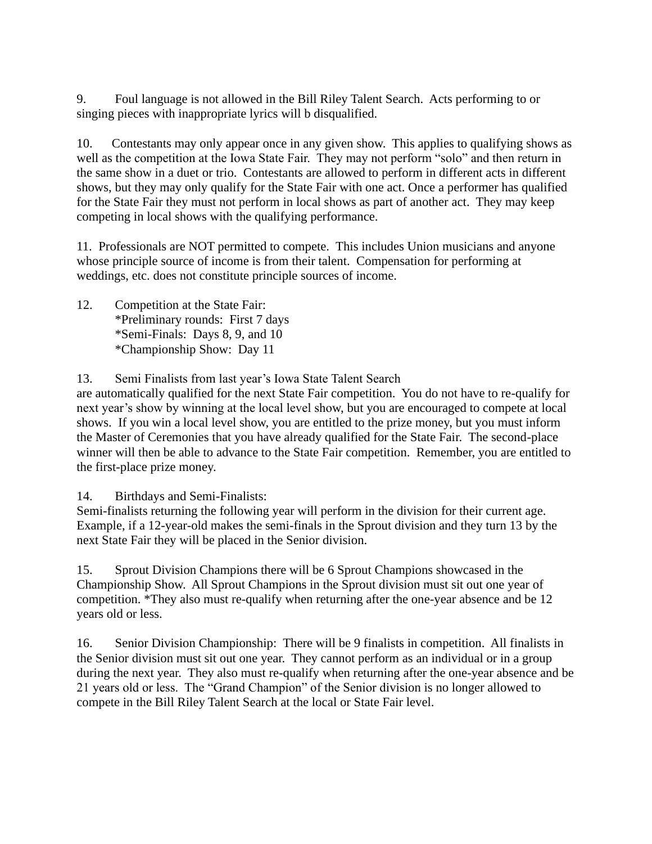9. Foul language is not allowed in the Bill Riley Talent Search. Acts performing to or singing pieces with inappropriate lyrics will b disqualified.

10. Contestants may only appear once in any given show. This applies to qualifying shows as well as the competition at the Iowa State Fair. They may not perform "solo" and then return in the same show in a duet or trio. Contestants are allowed to perform in different acts in different shows, but they may only qualify for the State Fair with one act. Once a performer has qualified for the State Fair they must not perform in local shows as part of another act. They may keep competing in local shows with the qualifying performance.

11. Professionals are NOT permitted to compete. This includes Union musicians and anyone whose principle source of income is from their talent. Compensation for performing at weddings, etc. does not constitute principle sources of income.

12. Competition at the State Fair: \*Preliminary rounds: First 7 days \*Semi-Finals: Days 8, 9, and 10 \*Championship Show: Day 11

13. Semi Finalists from last year's Iowa State Talent Search

are automatically qualified for the next State Fair competition. You do not have to re-qualify for next year's show by winning at the local level show, but you are encouraged to compete at local shows. If you win a local level show, you are entitled to the prize money, but you must inform the Master of Ceremonies that you have already qualified for the State Fair. The second-place winner will then be able to advance to the State Fair competition. Remember, you are entitled to the first-place prize money.

14. Birthdays and Semi-Finalists:

Semi-finalists returning the following year will perform in the division for their current age. Example, if a 12-year-old makes the semi-finals in the Sprout division and they turn 13 by the next State Fair they will be placed in the Senior division.

15. Sprout Division Champions there will be 6 Sprout Champions showcased in the Championship Show. All Sprout Champions in the Sprout division must sit out one year of competition. \*They also must re-qualify when returning after the one-year absence and be 12 years old or less.

16. Senior Division Championship: There will be 9 finalists in competition. All finalists in the Senior division must sit out one year. They cannot perform as an individual or in a group during the next year. They also must re-qualify when returning after the one-year absence and be 21 years old or less. The "Grand Champion" of the Senior division is no longer allowed to compete in the Bill Riley Talent Search at the local or State Fair level.